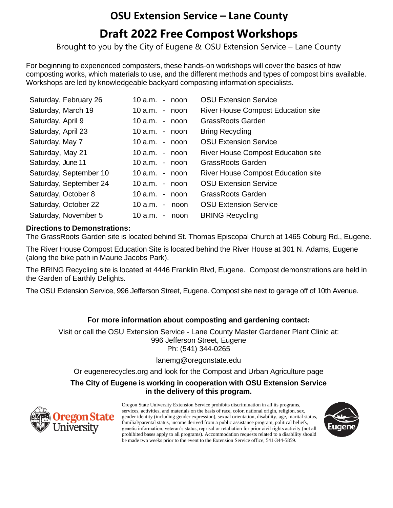# **OSU Extension Service – Lane County**

## **Draft 2022 Free Compost Workshops**

Brought to you by the City of Eugene & OSU Extension Service – Lane County

For beginning to experienced composters, these hands-on workshops will cover the basics of how composting works, which materials to use, and the different methods and types of compost bins available. Workshops are led by knowledgeable backyard composting information specialists.

| Saturday, February 26  | $10$ a.m. - noon   | <b>OSU Extension Service</b>              |
|------------------------|--------------------|-------------------------------------------|
| Saturday, March 19     | $10$ a.m. $-$ noon | <b>River House Compost Education site</b> |
| Saturday, April 9      | $10$ a.m. $-$ noon | <b>GrassRoots Garden</b>                  |
| Saturday, April 23     | $10$ a.m. $-$ noon | <b>Bring Recycling</b>                    |
| Saturday, May 7        | $10$ a.m. - noon   | <b>OSU Extension Service</b>              |
| Saturday, May 21       | $10$ a.m. $-$ noon | <b>River House Compost Education site</b> |
| Saturday, June 11      | 10 a.m.<br>- noon  | <b>GrassRoots Garden</b>                  |
| Saturday, September 10 | $10$ a.m. $-$ noon | <b>River House Compost Education site</b> |
| Saturday, September 24 | 10 $a.m.$ - noon   | <b>OSU Extension Service</b>              |
| Saturday, October 8    | $10$ a.m. $-$ noon | <b>GrassRoots Garden</b>                  |
| Saturday, October 22   | 10 a.m. -<br>noon  | <b>OSU Extension Service</b>              |
| Saturday, November 5   | 10 a.m.<br>- noon  | <b>BRING Recycling</b>                    |

#### **Directions to Demonstrations:**

The GrassRoots Garden site is located behind St. Thomas Episcopal Church at 1465 Coburg Rd., Eugene.

The River House Compost Education Site is located behind the River House at 301 N. Adams, Eugene (along the bike path in Maurie Jacobs Park).

The BRING Recycling site is located at 4446 Franklin Blvd, Eugene. Compost demonstrations are held in the Garden of Earthly Delights.

The OSU Extension Service, 996 Jefferson Street, Eugene. Compost site next to garage off of 10th Avenue.

### **For more information about composting and gardening contact:**

Visit or call the OSU Extension Service - Lane County Master Gardener Plant Clinic at: 996 Jefferson Street, Eugene Ph: (541) 344-0265

#### [lanemg@oregonstate.edu](mailto:lanemg@oregonstate.edu)

Or eugenerecycles.org and look for the Compost and Urban Agriculture page

#### **The City of Eugene is working in cooperation with OSU Extension Service in the delivery of this program.**



Oregon State University Extension Service prohibits discrimination in all its programs, services, activities, and materials on the basis of race, color, national origin, religion, sex, gender identity (including gender expression), sexual orientation, disability, age, marital status, familial/parental status, income derived from a public assistance program, political beliefs, genetic information, veteran's status, reprisal or retaliation for prior civil rights activity (not all prohibited bases apply to all programs). Accommodation requests related to a disability should be made two weeks prior to the event to the Extension Service office, 541-344-5859.